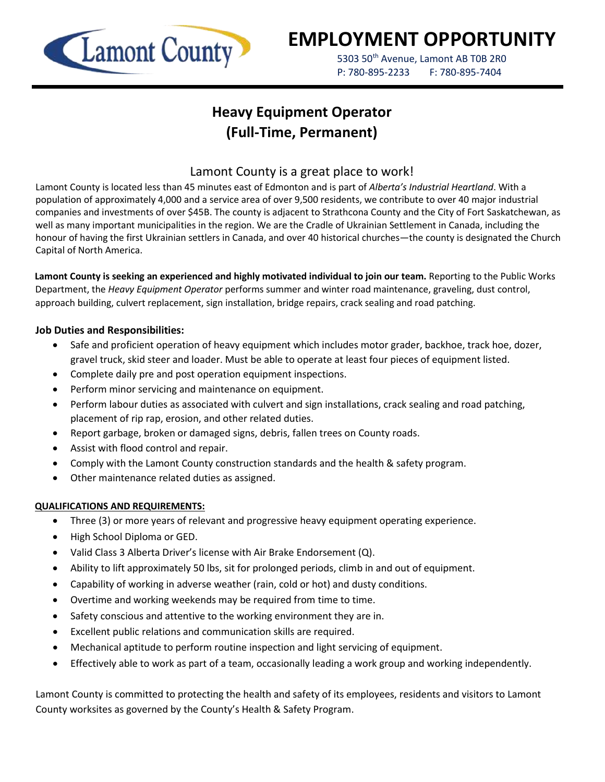

# **EMPLOYMENT OPPORTUNITY**

5303 50<sup>th</sup> Avenue, Lamont AB T0B 2R0 P: 780-895-2233 F: 780-895-7404

## **Heavy Equipment Operator (Full-Time, Permanent)**

### Lamont County is a great place to work!

Lamont County is located less than 45 minutes east of Edmonton and is part of *Alberta's Industrial Heartland*. With a population of approximately 4,000 and a service area of over 9,500 residents, we contribute to over 40 major industrial companies and investments of over \$45B. The county is adjacent to Strathcona County and the City of Fort Saskatchewan, as well as many important municipalities in the region. We are the Cradle of Ukrainian Settlement in Canada, including the honour of having the first Ukrainian settlers in Canada, and over 40 historical churches—the county is designated the Church Capital of North America.

**Lamont County is seeking an experienced and highly motivated individual to join our team.** Reporting to the Public Works Department, the *Heavy Equipment Operator* performs summer and winter road maintenance, graveling, dust control, approach building, culvert replacement, sign installation, bridge repairs, crack sealing and road patching.

#### **Job Duties and Responsibilities:**

- Safe and proficient operation of heavy equipment which includes motor grader, backhoe, track hoe, dozer, gravel truck, skid steer and loader. Must be able to operate at least four pieces of equipment listed.
- Complete daily pre and post operation equipment inspections.
- Perform minor servicing and maintenance on equipment.
- Perform labour duties as associated with culvert and sign installations, crack sealing and road patching, placement of rip rap, erosion, and other related duties.
- Report garbage, broken or damaged signs, debris, fallen trees on County roads.
- Assist with flood control and repair.
- Comply with the Lamont County construction standards and the health & safety program.
- Other maintenance related duties as assigned.

#### **QUALIFICATIONS AND REQUIREMENTS:**

- Three (3) or more years of relevant and progressive heavy equipment operating experience.
- High School Diploma or GED.
- Valid Class 3 Alberta Driver's license with Air Brake Endorsement (Q).
- Ability to lift approximately 50 lbs, sit for prolonged periods, climb in and out of equipment.
- Capability of working in adverse weather (rain, cold or hot) and dusty conditions.
- Overtime and working weekends may be required from time to time.
- Safety conscious and attentive to the working environment they are in.
- Excellent public relations and communication skills are required.
- Mechanical aptitude to perform routine inspection and light servicing of equipment.
- Effectively able to work as part of a team, occasionally leading a work group and working independently.

Lamont County is committed to protecting the health and safety of its employees, residents and visitors to Lamont County worksites as governed by the County's Health & Safety Program.